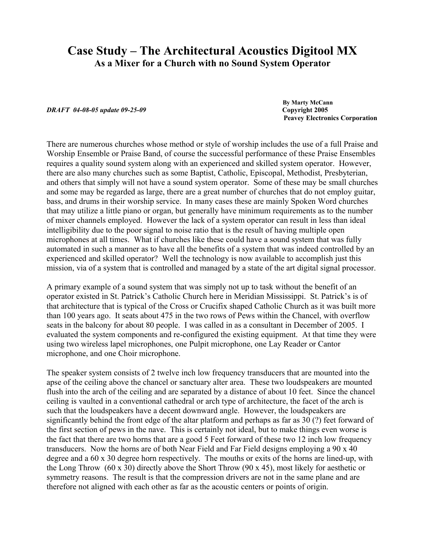## **Case Study – The Architectural Acoustics Digitool MX As a Mixer for a Church with no Sound System Operator**

*DRAFT 04-08-05 update 09-25-09* **Copyright 2005**

 **By Marty McCann Peavey Electronics Corporation**

There are numerous churches whose method or style of worship includes the use of a full Praise and Worship Ensemble or Praise Band, of course the successful performance of these Praise Ensembles requires a quality sound system along with an experienced and skilled system operator. However, there are also many churches such as some Baptist, Catholic, Episcopal, Methodist, Presbyterian, and others that simply will not have a sound system operator. Some of these may be small churches and some may be regarded as large, there are a great number of churches that do not employ guitar, bass, and drums in their worship service. In many cases these are mainly Spoken Word churches that may utilize a little piano or organ, but generally have minimum requirements as to the number of mixer channels employed. However the lack of a system operator can result in less than ideal intelligibility due to the poor signal to noise ratio that is the result of having multiple open microphones at all times. What if churches like these could have a sound system that was fully automated in such a manner as to have all the benefits of a system that was indeed controlled by an experienced and skilled operator? Well the technology is now available to accomplish just this mission, via of a system that is controlled and managed by a state of the art digital signal processor.

A primary example of a sound system that was simply not up to task without the benefit of an operator existed in St. Patrick's Catholic Church here in Meridian Mississippi. St. Patrick's is of that architecture that is typical of the Cross or Crucifix shaped Catholic Church as it was built more than 100 years ago. It seats about 475 in the two rows of Pews within the Chancel, with overflow seats in the balcony for about 80 people. I was called in as a consultant in December of 2005. I evaluated the system components and re-configured the existing equipment. At that time they were using two wireless lapel microphones, one Pulpit microphone, one Lay Reader or Cantor microphone, and one Choir microphone.

The speaker system consists of 2 twelve inch low frequency transducers that are mounted into the apse of the ceiling above the chancel or sanctuary alter area. These two loudspeakers are mounted flush into the arch of the ceiling and are separated by a distance of about 10 feet. Since the chancel ceiling is vaulted in a conventional cathedral or arch type of architecture, the facet of the arch is such that the loudspeakers have a decent downward angle. However, the loudspeakers are significantly behind the front edge of the altar platform and perhaps as far as 30 (?) feet forward of the first section of pews in the nave. This is certainly not ideal, but to make things even worse is the fact that there are two horns that are a good 5 Feet forward of these two 12 inch low frequency transducers. Now the horns are of both Near Field and Far Field designs employing a 90 x 40 degree and a 60 x 30 degree horn respectively. The mouths or exits of the horns are lined-up, with the Long Throw (60 x 30) directly above the Short Throw (90 x 45), most likely for aesthetic or symmetry reasons. The result is that the compression drivers are not in the same plane and are therefore not aligned with each other as far as the acoustic centers or points of origin.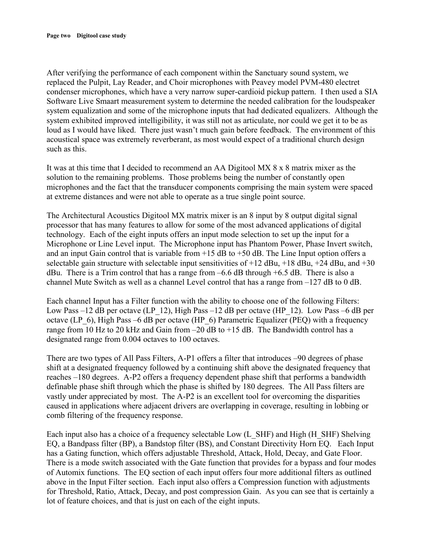After verifying the performance of each component within the Sanctuary sound system, we replaced the Pulpit, Lay Reader, and Choir microphones with Peavey model PVM-480 electret condenser microphones, which have a very narrow super-cardioid pickup pattern. I then used a SIA Software Live Smaart measurement system to determine the needed calibration for the loudspeaker system equalization and some of the microphone inputs that had dedicated equalizers. Although the system exhibited improved intelligibility, it was still not as articulate, nor could we get it to be as loud as I would have liked. There just wasn't much gain before feedback. The environment of this acoustical space was extremely reverberant, as most would expect of a traditional church design such as this.

It was at this time that I decided to recommend an AA Digitool MX 8 x 8 matrix mixer as the solution to the remaining problems. Those problems being the number of constantly open microphones and the fact that the transducer components comprising the main system were spaced at extreme distances and were not able to operate as a true single point source.

The Architectural Acoustics Digitool MX matrix mixer is an 8 input by 8 output digital signal processor that has many features to allow for some of the most advanced applications of digital technology. Each of the eight inputs offers an input mode selection to set up the input for a Microphone or Line Level input. The Microphone input has Phantom Power, Phase Invert switch, and an input Gain control that is variable from  $+15$  dB to  $+50$  dB. The Line Input option offers a selectable gain structure with selectable input sensitivities of  $+12$  dBu,  $+18$  dBu,  $+24$  dBu, and  $+30$ dBu. There is a Trim control that has a range from  $-6.6$  dB through  $+6.5$  dB. There is also a channel Mute Switch as well as a channel Level control that has a range from  $-127$  dB to 0 dB.

Each channel Input has a Filter function with the ability to choose one of the following Filters: Low Pass –12 dB per octave (LP\_12), High Pass –12 dB per octave (HP\_12). Low Pass –6 dB per octave (LP\_6), High Pass –6 dB per octave (HP\_6) Parametric Equalizer (PEQ) with a frequency range from 10 Hz to 20 kHz and Gain from  $-20$  dB to  $+15$  dB. The Bandwidth control has a designated range from 0.004 octaves to 100 octaves.

There are two types of All Pass Filters, A-P1 offers a filter that introduces –90 degrees of phase shift at a designated frequency followed by a continuing shift above the designated frequency that reaches –180 degrees. A-P2 offers a frequency dependent phase shift that performs a bandwidth definable phase shift through which the phase is shifted by 180 degrees. The All Pass filters are vastly under appreciated by most. The A-P2 is an excellent tool for overcoming the disparities caused in applications where adjacent drivers are overlapping in coverage, resulting in lobbing or comb filtering of the frequency response.

Each input also has a choice of a frequency selectable Low (L\_SHF) and High (H\_SHF) Shelving EQ, a Bandpass filter (BP), a Bandstop filter (BS), and Constant Directivity Horn EQ. Each Input has a Gating function, which offers adjustable Threshold, Attack, Hold, Decay, and Gate Floor. There is a mode switch associated with the Gate function that provides for a bypass and four modes of Automix functions. The EQ section of each input offers four more additional filters as outlined above in the Input Filter section. Each input also offers a Compression function with adjustments for Threshold, Ratio, Attack, Decay, and post compression Gain. As you can see that is certainly a lot of feature choices, and that is just on each of the eight inputs.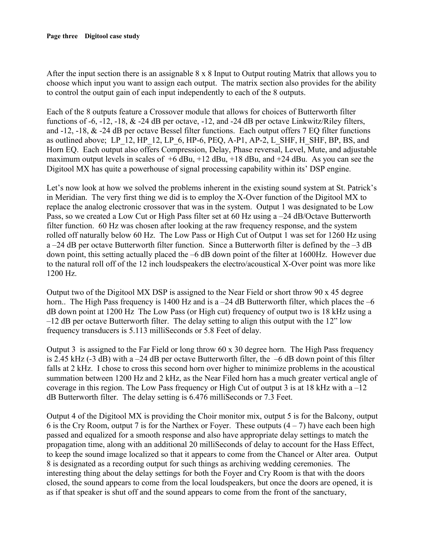## **Page three Digitool case study**

After the input section there is an assignable 8 x 8 Input to Output routing Matrix that allows you to choose which input you want to assign each output. The matrix section also provides for the ability to control the output gain of each input independently to each of the 8 outputs.

Each of the 8 outputs feature a Crossover module that allows for choices of Butterworth filter functions of -6, -12, -18, & -24 dB per octave, -12, and -24 dB per octave Linkwitz/Riley filters, and -12, -18, & -24 dB per octave Bessel filter functions. Each output offers 7 EQ filter functions as outlined above; LP\_12, HP\_12, LP\_6, HP-6, PEQ, A-P1, AP-2, L\_SHF, H\_SHF, BP, BS, and Horn EQ. Each output also offers Compression, Delay, Phase reversal, Level, Mute, and adjustable maximum output levels in scales of  $+6$  dBu,  $+12$  dBu,  $+18$  dBu, and  $+24$  dBu. As you can see the Digitool MX has quite a powerhouse of signal processing capability within its' DSP engine.

Let's now look at how we solved the problems inherent in the existing sound system at St. Patrick's in Meridian. The very first thing we did is to employ the X-Over function of the Digitool MX to replace the analog electronic crossover that was in the system. Output 1 was designated to be Low Pass, so we created a Low Cut or High Pass filter set at 60 Hz using a –24 dB/Octave Butterworth filter function. 60 Hz was chosen after looking at the raw frequency response, and the system rolled off naturally below 60 Hz. The Low Pass or High Cut of Output 1 was set for 1260 Hz using a –24 dB per octave Butterworth filter function. Since a Butterworth filter is defined by the –3 dB down point, this setting actually placed the –6 dB down point of the filter at 1600Hz. However due to the natural roll off of the 12 inch loudspeakers the electro/acoustical X-Over point was more like 1200 Hz.

Output two of the Digitool MX DSP is assigned to the Near Field or short throw 90 x 45 degree horn.. The High Pass frequency is 1400 Hz and is a  $-24$  dB Butterworth filter, which places the  $-6$ dB down point at 1200 Hz The Low Pass (or High cut) frequency of output two is 18 kHz using a –12 dB per octave Butterworth filter. The delay setting to align this output with the 12" low frequency transducers is 5.113 milliSeconds or 5.8 Feet of delay.

Output 3 is assigned to the Far Field or long throw 60 x 30 degree horn. The High Pass frequency is 2.45 kHz (-3 dB) with a –24 dB per octave Butterworth filter, the  $-6$  dB down point of this filter falls at 2 kHz. I chose to cross this second horn over higher to minimize problems in the acoustical summation between 1200 Hz and 2 kHz, as the Near Filed horn has a much greater vertical angle of coverage in this region. The Low Pass frequency or High Cut of output 3 is at 18 kHz with  $a - 12$ dB Butterworth filter. The delay setting is 6.476 milliSeconds or 7.3 Feet.

Output 4 of the Digitool MX is providing the Choir monitor mix, output 5 is for the Balcony, output 6 is the Cry Room, output 7 is for the Narthex or Foyer. These outputs  $(4 – 7)$  have each been high passed and equalized for a smooth response and also have appropriate delay settings to match the propagation time, along with an additional 20 milliSeconds of delay to account for the Hass Effect, to keep the sound image localized so that it appears to come from the Chancel or Alter area. Output 8 is designated as a recording output for such things as archiving wedding ceremonies. The interesting thing about the delay settings for both the Foyer and Cry Room is that with the doors closed, the sound appears to come from the local loudspeakers, but once the doors are opened, it is as if that speaker is shut off and the sound appears to come from the front of the sanctuary,